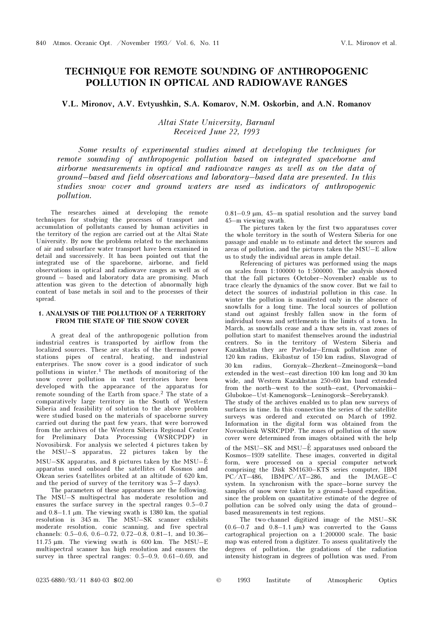# TECHNIQUE FOR REMOTE SOUNDING OF ANTHROPOGENIC POLLUTION IN OPTICAL AND RADIOWAVE RANGES

V.L. Mironov, A.V. Evtyushkin, S.A. Komarov, N.M. Oskorbin, and A.N. Romanov

Altai State University, Barnaul Received June 22, 1993

Some results of experimental studies aimed at developing the techniques for remote sounding of anthropogenic pollution based on integrated spaceborne and airborne measurements in optical and radiowave ranges as well as on the data of ground–based and field observations and laboratory–based data are presented. In this studies snow cover and ground waters are used as indicators of anthropogenic pollution.

The researches aimed at developing the remote techniques for studying the processes of transport and accumulation of pollutants caused by human activities in the territory of the region are carried out at the Altai State University. By now the problems related to the mechanisms of air and subsurface water transport have been examined in detail and successively. It has been pointed out that the integrated use of the spaceborne, airborne, and field observations in optical and radiowave ranges as well as of ground – based and laboratory data are promising. Much attention was given to the detection of abnormally high content of base metals in soil and to the processes of their spread.

## 1. ANALYSIS OF THE POLLUTION OF A TERRITORY FROM THE STATE OF THE SNOW COVER

A great deal of the anthropogenic pollution from industrial centres is transported by airflow from the localized sources. These are stacks of the thermal power stations pipes of central, heating, and industrial enterprises. The snow cover is a good indicator of such pollutions in winter.1 The methods of monitoring of the snow cover pollution in vast territories have been developed with the appearance of the apparatus for remote sounding of the Earth from space.2 The state of a comparatively large territory in the South of Western Siberia and feasibility of solution to the above problem were studied based on the materials of spaceborne survey carried out during the past few years, that were borrowed from the archives of the Western Siberia Regional Center for Preliminary Data Processing (WSRCPDP) in Novosibirsk. For analysis we selected 4 pictures taken by the MSU–S apparatus, 22 pictures taken by the MSU–SK apparatus, and 8 pictures taken by the MSU– $\acute{\text{E}}$ apparatus used onboard the satellites of Kosmos and Okean series (satellites orbited at an altitude of 620 km, and the period of survey of the territory was 5–7 days).

The parameters of these apparatuses are the following. The MSU–S multispectral has moderate resolution and ensures the surface survey in the spectral ranges 0.5–0.7 and 0.8–1.1 μm. The viewing swath is 1380 km, the spatial resolution is 345 m. The MSU–SK scanner exhibits moderate resolution, conic scanning, and five spectral channels: 0.5–0.6, 0.6–0.72, 0.72–0.8, 0.81–1, and 10.36– 11.75 µm. The viewing swath is 600 km. The MSU–E multispectral scanner has high resolution and ensures the survey in three spectral ranges: 0.5–0.9, 0.61–0.69, and

0.81–0.9 µm, 45–m spatial resolution and the survey band 45–m viewing swath.

The pictures taken by the first two apparatuses cover the whole territory in the south of Western Siberia for one passage and enable us to estimate and detect the sources and areas of pollution, and the pictures taken the MSU–E allow us to study the individual areas in ample detail.

Referencing of pictures was performed using the maps on scales from 1:100000 to 1:500000. The analysis showed that the fall pictures (October–November) enable us to trace clearly the dynamics of the snow cover. But we fail to detect the sources of industrial pollution in this case. In winter the pollution is manifested only in the absence of snowfalls for a long time. The local sources of pollution stand out against freshly fallen snow in the form of individual towns and settlements in the limits of a town. In March, as snowfalls cease and a thaw sets in, vast zones of pollution start to manifest themselves around the industrial centrers. So in the territory of Western Siberia and Kazakhstan they are Pavlodar–Ermak pollution zone of 120 km radius, Ekibastuz of 150 km radius, Slavograd of 30 km radius, Gornyak–Zhezkent–Zmeinogorsk–band extended in the west–east direction 100 km long and 30 km wide, and Western Kazakhstan 250×60 km band extended from the north–west to the south–east, (Pervomaiskii– Glubokoe–Ust-Kamenogorsk–Leninogorsk–Serebryansk). The study of the archives enabled us to plan new surveys of surfaces in time. In this connection the series of the satellite surveys was ordered and executed on March of 1992. Information in the digital form was obtained from the Novosibirsk WSRCPDP. The zones of pollution of the snow cover were determined from images obtained with the help

of the MSU–SK and MSU– $\acute{E}$  apparatuses used onboard the Kosmos–1939 satellite. These images, converted in digital form, were processed on a special computer network comprising the Disk SM1630–KTS series computer, IBM PC/AT–486, IBMPC/AT–286, and the IMAGE–C system. In synchronism with the space–borne survey the samples of snow were taken by a ground–based expedition, since the problem on quantitative estimate of the degree of pollution can be solved only using the data of ground– based measurements in test regions.

The two-channel digitized image of the MSU–SK  $(0.6-0.7$  and  $0.8-1.1 \mu m)$  was converted to the Gauss cartographical projection on a 1:200000 scale. The basic map was entered from a digitizer. To assess qualitatively the degrees of pollution, the gradations of the radiation intensity histogram in degrees of pollution was used. From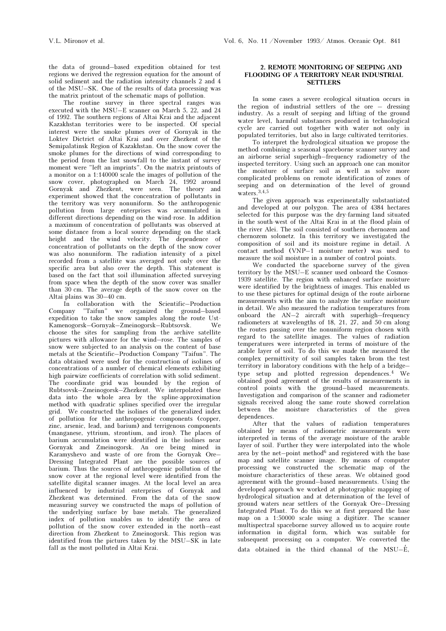the data of ground–based expedition obtained for test regions we derived the regression equation for the amount of solid sediment and the radiation intensity channels 2 and 4 of the MSU–SK. One of the results of data processing was the matrix printout of the schematic maps of pollution.

The routine survey in three spectral ranges was executed with the MSU–E scanner on March 5, 22, and 24 of 1992. The southern regions of Altai Krai and the adjacent Kazakhstan territories were to be inspected. Of special interest were the smoke plumes over of Gornyak in the Loktev Dictrict of Altai Krai and over Zhezkent of the Semipalatinsk Region of Kazakhstan. On the snow cover the smoke plumes for the directions of wind corresponding to the period from the last snowfall to the instant of survey moment were "left an imprints". On the matrix printouts of a monitor on a 1:140000 scale the images of pollution of the snow cover, photographed on March 24, 1992 around Gornyak and Zhezkent, were seen. The theory and experiment showed that the concentration of pollutants in the territory was very nonuniform. So the anthropogenic pollution from large enterprises was accumulated in different directions depending on the wind-rose. In addition a maximum of concentration of pollutants was observed at some distance from a local source depending on the stack height and the wind velocity. The dependence of concentration of pollutants on the depth of the snow cover was also nonuniform. The radiation intensity of a pixel recorded from a satellite was averaged not only over the specific area but also over the depth. This statement is based on the fact that soil illumination affected surveying from space when the depth of the snow cover was smaller than 30 cm. The average depth of the snow cover on the Altai plains was 30–40 cm.

In collaboration with the Scientific–Production Company "Taifun" we organized the ground–based expedition to take the snow samples along the route Ust-Kamenogorsk–Gornyak–Zmeinogorsk–Rubtsovsk. We choose the sites for sampling from the archive satellite pictures with allowance for the wind–rose. The samples of snow were subjected to an analysis on the content of base metals at the Scientific–Production Company "Taifun". The data obtained were used for the construction of isolines of concentrations of a number of chemical elements exhibiting high pairwize coefficients of correlation with solid sediment. The coordinate grid was bounded by the region of Rubtsovsk–Zmeinogorsk–Zhezkent. We interpolated these data into the whole area by the spline-approximation method with quadratic splines specified over the irregular grid. We constructed the isolines of the generalized index of pollution for the anthropogenic components (copper, zinc, arsenic, lead, and barium) and terrigenous components (manganese, yttrium, strontium, and iron). The places of barium accumulation were identified in the isolines near Gornyak and Zmeinogorsk. An ore being mined in Karamyshevo and waste of ore from the Gornyak Ore– Dressing Integrated Plant are the possible sources of barium. Thus the sources of anthropogenic pollution of the snow cover at the regional level were identified from the satellite digital scanner images. At the local level an area influenced by industrial enterprises of Gornyak and Zhezkent was determined. From the data of the snow measuring survey we constructed the maps of pollution of the underlying surface by base metals. The generalized index of pollution unables us to identify the area of pollution of the snow cover extended in the north–east direction from Zhezkent to Zmeinogorsk. This region was identified from the pictures taken by the MSU–SK in late fall as the most polluted in Altai Krai.

# 2. REMOTE MONITORING OF SEEPING AND FLOODING OF A TERRITORY NEAR INDUSTRIAL **SETTLERS**

In some cases a severe ecological situation occurs in the region of industrial settlers of the ore – dressing industry. As a result of seeping and lifting of the ground water level, harmful substances produced in technological cycle are carried out together with water not only in populated territories, but also in large cultivated territories.

To interpret the hydrological situation we propose the method combining a seasonal spaceborne scanner survey and an airborne serial superhigh–frequency radiometry of the inspected territory. Using such an approach one can monitor the moisture of surface soil as well as solve more complicated problems on remote identification of zones of seeping and on determination of the level of ground waters.<sup>3,4,5</sup>

The given approach was experimentally substantiated and developed at our polygon. The area of 4384 hectares selected for this purpose was the dry-farming land situated in the south-west of the Altai Krai in at the flood plain of the river Alei. The soil consisted of southern chernozem and chernozem solonetz. In this territory we investigated the composition of soil and its moisture regime in detail. A contact method (VNP–1 moisture meter) was used to measure the soil moisture in a number of control points.

We conducted the spaceborne survey of the given territory by the MSU–E scanner used onboard the Cosmos-1939 satellite. The region with enhanced surface moisture were identified by the brightness of images. This enabled us to use these pictures for optimal design of the route airborne measurements with the aim to analyze the surface moisture in detail. We also measured the radiation temperatures from onboard the AN–2 aircraft with superhigh–frequency radiometers at wavelengths of 18, 21, 27, and 50 cm along the routes passing over the nonuniform region chosen with regard to the satellite images. The values of radiation temperatures were interpreted in terms of moisture of the arable layer of soil. To do this we made the measured the complex permittivity of soil samples taken brom the test territory in laboratory conditions with the help of a bridge– type setup and plotted regression dependences.4 We obtained good agreement of the results of measurements in control points with the ground–based measurements. Investigation and comparison of the scanner and radiometer signals received along the same route showed correlation between the moisture characteristics of the given dependences.

After that the values of radiation temperatures obtained by means of radiometric measurements were interpreted in terms of the average moisture of the arable layer of soil. Further they were interpolated into the whole area by the net-point method<sup>6</sup> and registered with the base map and satellite scanner image. By means of computer processing we constructed the schematic map of the moisture characteristics of these areas. We obtained good agreement with the ground–based measurements. Using the developed approach we worked at photographic mapping of hydrological situation and at determination of the level of ground waters near settlers of the Gornyak Ore–Dressing Integrated Plant. To do this we at first prepared the base map on a 1:50000 scale using a digitizer. The scanner multispectral spaceborne survey allowed us to acquire route information in digital form, which was suitable for subsequent processing on a computer. We converted the data obtained in the third channal of the  $MSU-\dot{E}$ ,